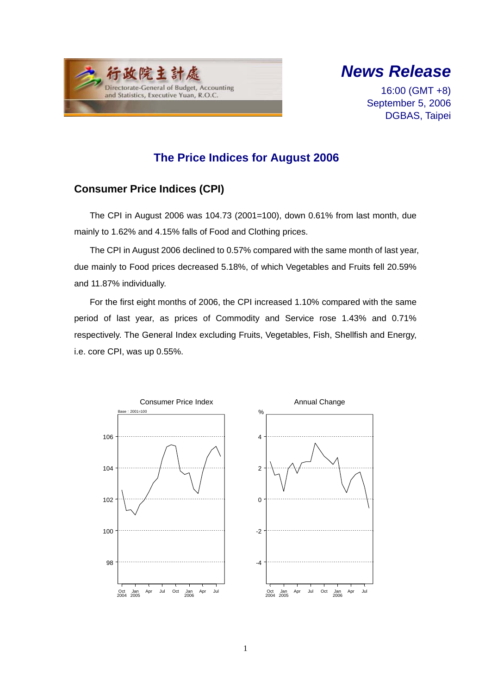



16:00 (GMT +8) September 5, 2006 DGBAS, Taipei

## **The Price Indices for August 2006**

### **Consumer Price Indices (CPI)**

The CPI in August 2006 was 104.73 (2001=100), down 0.61% from last month, due mainly to 1.62% and 4.15% falls of Food and Clothing prices.

The CPI in August 2006 declined to 0.57% compared with the same month of last year, due mainly to Food prices decreased 5.18%, of which Vegetables and Fruits fell 20.59% and 11.87% individually.

For the first eight months of 2006, the CPI increased 1.10% compared with the same period of last year, as prices of Commodity and Service rose 1.43% and 0.71% respectively. The General Index excluding Fruits, Vegetables, Fish, Shellfish and Energy, i.e. core CPI, was up 0.55%.

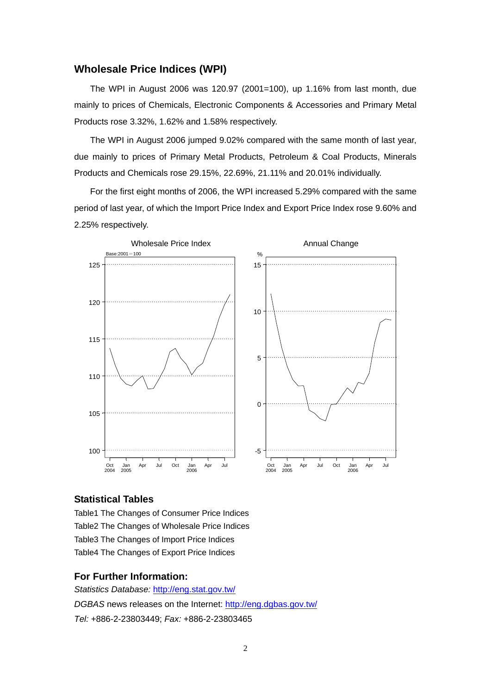#### **Wholesale Price Indices (WPI)**

The WPI in August 2006 was 120.97 (2001=100), up 1.16% from last month, due mainly to prices of Chemicals, Electronic Components & Accessories and Primary Metal Products rose 3.32%, 1.62% and 1.58% respectively.

The WPI in August 2006 jumped 9.02% compared with the same month of last year, due mainly to prices of Primary Metal Products, Petroleum & Coal Products, Minerals Products and Chemicals rose 29.15%, 22.69%, 21.11% and 20.01% individually.

For the first eight months of 2006, the WPI increased 5.29% compared with the same period of last year, of which the Import Price Index and Export Price Index rose 9.60% and 2.25% respectively.



#### **Statistical Tables**

Table1 The Changes of Consumer Price Indices Table2 The Changes of Wholesale Price Indices Table3 The Changes of Import Price Indices Table4 The Changes of Export Price Indices

#### **For Further Information:**

*Statistics Database:* http://eng.stat.gov.tw/ *DGBAS* news releases on the Internet: http://eng.dgbas.gov.tw/ *Tel:* +886-2-23803449; *Fax:* +886-2-23803465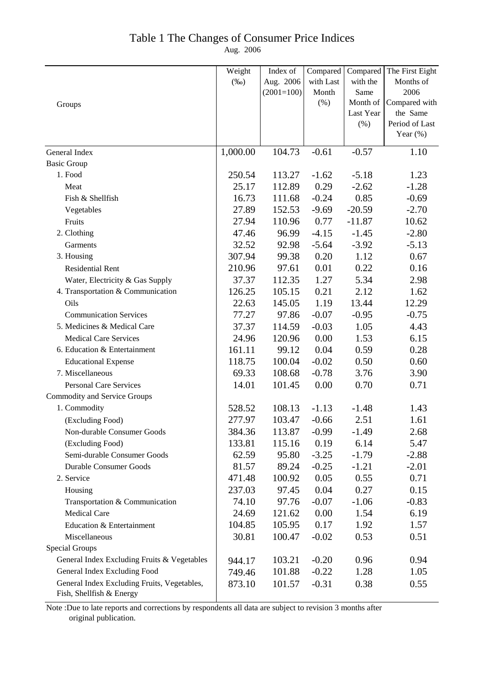### Table 1 The Changes of Consumer Price Indices

Aug. 2006

|                                                                         | Weight   | Index of     | Compared  | Compared  | The First Eight |
|-------------------------------------------------------------------------|----------|--------------|-----------|-----------|-----------------|
|                                                                         | $(\%0)$  | Aug. 2006    | with Last | with the  | Months of       |
|                                                                         |          | $(2001=100)$ | Month     | Same      | 2006            |
| Groups                                                                  |          |              | (% )      | Month of  | Compared with   |
|                                                                         |          |              |           | Last Year | the Same        |
|                                                                         |          |              |           | (%)       | Period of Last  |
|                                                                         |          |              |           |           | Year $(\%)$     |
| General Index                                                           | 1,000.00 | 104.73       | $-0.61$   | $-0.57$   | 1.10            |
| <b>Basic Group</b>                                                      |          |              |           |           |                 |
| 1. Food                                                                 | 250.54   | 113.27       | $-1.62$   | $-5.18$   | 1.23            |
| Meat                                                                    | 25.17    | 112.89       | 0.29      | $-2.62$   | $-1.28$         |
| Fish & Shellfish                                                        | 16.73    | 111.68       | $-0.24$   | 0.85      | $-0.69$         |
| Vegetables                                                              | 27.89    | 152.53       | $-9.69$   | $-20.59$  | $-2.70$         |
| Fruits                                                                  | 27.94    | 110.96       | 0.77      | $-11.87$  | 10.62           |
| 2. Clothing                                                             | 47.46    | 96.99        | $-4.15$   | $-1.45$   | $-2.80$         |
| Garments                                                                | 32.52    | 92.98        | $-5.64$   | $-3.92$   | $-5.13$         |
| 3. Housing                                                              | 307.94   | 99.38        | 0.20      | 1.12      | 0.67            |
| <b>Residential Rent</b>                                                 | 210.96   | 97.61        | 0.01      | 0.22      | 0.16            |
| Water, Electricity & Gas Supply                                         | 37.37    | 112.35       | 1.27      | 5.34      | 2.98            |
| 4. Transportation & Communication                                       | 126.25   | 105.15       | 0.21      | 2.12      | 1.62            |
| Oils                                                                    | 22.63    | 145.05       | 1.19      | 13.44     | 12.29           |
| <b>Communication Services</b>                                           | 77.27    | 97.86        | $-0.07$   | $-0.95$   | $-0.75$         |
| 5. Medicines & Medical Care                                             | 37.37    | 114.59       | $-0.03$   | 1.05      | 4.43            |
| <b>Medical Care Services</b>                                            | 24.96    | 120.96       | 0.00      | 1.53      | 6.15            |
| 6. Education & Entertainment                                            | 161.11   | 99.12        | 0.04      | 0.59      | 0.28            |
| <b>Educational Expense</b>                                              | 118.75   | 100.04       | $-0.02$   | 0.50      | 0.60            |
| 7. Miscellaneous                                                        | 69.33    | 108.68       | $-0.78$   | 3.76      | 3.90            |
| <b>Personal Care Services</b>                                           | 14.01    | 101.45       | 0.00      | 0.70      | 0.71            |
| <b>Commodity and Service Groups</b>                                     |          |              |           |           |                 |
| 1. Commodity                                                            | 528.52   | 108.13       | $-1.13$   | $-1.48$   | 1.43            |
| (Excluding Food)                                                        | 277.97   | 103.47       | $-0.66$   | 2.51      | 1.61            |
| Non-durable Consumer Goods                                              | 384.36   | 113.87       | $-0.99$   | $-1.49$   | 2.68            |
| (Excluding Food)                                                        | 133.81   | 115.16       | 0.19      | 6.14      | 5.47            |
| Semi-durable Consumer Goods                                             | 62.59    | 95.80        | $-3.25$   | $-1.79$   | $-2.88$         |
| <b>Durable Consumer Goods</b>                                           | 81.57    | 89.24        | $-0.25$   | $-1.21$   | $-2.01$         |
| 2. Service                                                              | 471.48   | 100.92       | 0.05      | 0.55      | 0.71            |
| Housing                                                                 | 237.03   | 97.45        | 0.04      | 0.27      | 0.15            |
| Transportation & Communication                                          | 74.10    | 97.76        | $-0.07$   | $-1.06$   | $-0.83$         |
| <b>Medical Care</b>                                                     | 24.69    | 121.62       | 0.00      | 1.54      | 6.19            |
| Education & Entertainment                                               | 104.85   | 105.95       | 0.17      | 1.92      | 1.57            |
| Miscellaneous                                                           | 30.81    | 100.47       | $-0.02$   | 0.53      | 0.51            |
| <b>Special Groups</b>                                                   |          |              |           |           |                 |
| General Index Excluding Fruits & Vegetables                             | 944.17   | 103.21       | $-0.20$   | 0.96      | 0.94            |
| General Index Excluding Food                                            | 749.46   | 101.88       | $-0.22$   | 1.28      | 1.05            |
| General Index Excluding Fruits, Vegetables,<br>Fish, Shellfish & Energy | 873.10   | 101.57       | $-0.31$   | 0.38      | 0.55            |

Note :Due to late reports and corrections by respondents all data are subject to revision 3 months after original publication.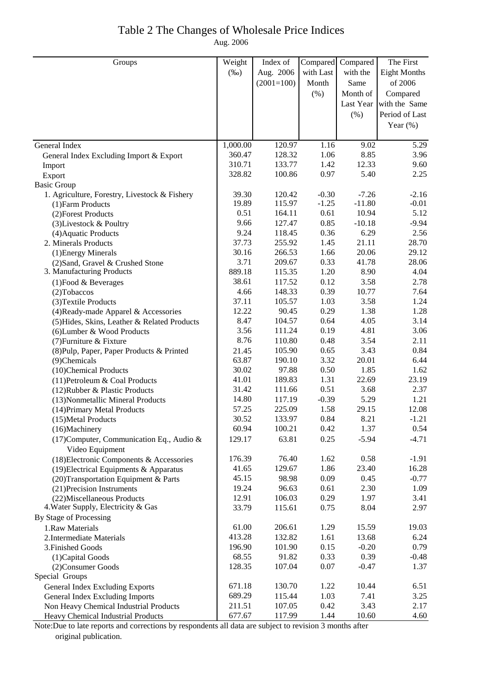# Table 2 The Changes of Wholesale Price Indices

Aug. 2006

| $(\%0)$<br>Aug. 2006<br>with Last<br>with the<br><b>Eight Months</b><br>$(2001=100)$<br>of 2006<br>Month<br>Same<br>(%)<br>Month of<br>Compared<br>Last Year with the Same<br>$(\% )$<br>Period of Last<br>Year $(\%)$<br>1,000.00<br>1.16<br>5.29<br>120.97<br>9.02<br>General Index<br>360.47<br>8.85<br>128.32<br>1.06<br>3.96<br>General Index Excluding Import & Export<br>310.71<br>133.77<br>1.42<br>12.33<br>9.60<br>Import<br>0.97<br>2.25<br>328.82<br>100.86<br>5.40<br>Export<br><b>Basic Group</b><br>$-0.30$<br>$-7.26$<br>$-2.16$<br>1. Agriculture, Forestry, Livestock & Fishery<br>39.30<br>120.42<br>19.89<br>115.97<br>$-1.25$<br>$-11.80$<br>$-0.01$<br>(1) Farm Products<br>0.51<br>0.61<br>10.94<br>5.12<br>164.11<br>(2) Forest Products<br>0.85<br>9.66<br>127.47<br>$-10.18$<br>$-9.94$<br>(3) Livestock & Poultry<br>9.24<br>0.36<br>6.29<br>118.45<br>2.56<br>(4) Aquatic Products<br>37.73<br>255.92<br>1.45<br>21.11<br>28.70<br>2. Minerals Products<br>30.16<br>266.53<br>1.66<br>20.06<br>29.12<br>(1) Energy Minerals<br>3.71<br>209.67<br>0.33<br>41.78<br>28.06<br>(2) Sand, Gravel & Crushed Stone<br>3. Manufacturing Products<br>889.18<br>115.35<br>1.20<br>8.90<br>4.04<br>38.61<br>117.52<br>0.12<br>3.58<br>2.78<br>$(1)$ Food & Beverages<br>4.66<br>0.39<br>148.33<br>10.77<br>7.64<br>(2) Tobaccos<br>37.11<br>105.57<br>1.03<br>3.58<br>1.24<br>(3) Textile Products<br>0.29<br>12.22<br>90.45<br>1.38<br>1.28<br>(4) Ready-made Apparel & Accessories<br>8.47<br>4.05<br>104.57<br>0.64<br>3.14<br>(5) Hides, Skins, Leather & Related Products<br>3.56<br>0.19<br>4.81<br>111.24<br>3.06<br>(6) Lumber & Wood Products<br>8.76<br>0.48<br>3.54<br>110.80<br>2.11<br>(7) Furniture & Fixture<br>0.65<br>3.43<br>0.84<br>105.90<br>(8) Pulp, Paper, Paper Products & Printed<br>21.45<br>63.87<br>3.32<br>20.01<br>6.44<br>190.10<br>(9)Chemicals<br>30.02<br>0.50<br>1.85<br>97.88<br>1.62<br>(10)Chemical Products<br>41.01<br>1.31<br>22.69<br>23.19<br>189.83<br>(11) Petroleum & Coal Products<br>31.42<br>0.51<br>3.68<br>2.37<br>111.66<br>(12) Rubber & Plastic Products<br>14.80<br>$-0.39$<br>5.29<br>1.21<br>117.19<br>(13) Nonmetallic Mineral Products<br>57.25<br>225.09<br>1.58<br>29.15<br>12.08<br>(14) Primary Metal Products<br>30.52<br>133.97<br>0.84<br>8.21<br>$-1.21$<br>(15) Metal Products<br>0.54<br>60.94<br>1.37<br>100.21<br>(16)Machinery<br>0.42<br>(17) Computer, Communication Eq., Audio &<br>63.81<br>0.25<br>129.17<br>$-5.94$<br>$-4.71$<br>Video Equipment<br>76.40<br>1.62<br>0.58<br>$-1.91$<br>176.39<br>(18) Electronic Components & Accessories<br>41.65<br>129.67<br>1.86<br>23.40<br>16.28<br>$(19)$ Electrical Equipments & Apparatus<br>45.15<br>0.09<br>0.45<br>$-0.77$<br>98.98<br>(20) Transportation Equipment & Parts<br>19.24<br>2.30<br>96.63<br>0.61<br>1.09<br>(21) Precision Instruments<br>12.91<br>0.29<br>1.97<br>(22) Miscellaneous Products<br>106.03<br>3.41<br>4. Water Supply, Electricity & Gas<br>33.79<br>0.75<br>8.04<br>2.97<br>115.61<br>By Stage of Processing<br>61.00<br>206.61<br>1.29<br>15.59<br>19.03<br>1.Raw Materials<br>413.28<br>132.82<br>13.68<br>1.61<br>6.24<br>2. Intermediate Materials<br>196.90<br>0.15<br>$-0.20$<br>0.79<br>101.90<br>3. Finished Goods<br>91.82<br>0.33<br>0.39<br>68.55<br>$-0.48$<br>(1) Capital Goods<br>128.35<br>0.07<br>$-0.47$<br>107.04<br>1.37<br>(2) Consumer Goods<br>Special Groups<br>130.70<br>671.18<br>1.22<br>10.44<br>6.51<br>General Index Excluding Exports<br>689.29<br>1.03<br>7.41<br>3.25<br>115.44<br>General Index Excluding Imports<br>211.51<br>0.42<br>3.43<br>2.17<br>107.05<br>Non Heavy Chemical Industrial Products<br>677.67<br>10.60<br>117.99<br>1.44<br>4.60<br>Heavy Chemical Industrial Products | Groups | Weight | Index of | Compared | Compared | The First |
|-------------------------------------------------------------------------------------------------------------------------------------------------------------------------------------------------------------------------------------------------------------------------------------------------------------------------------------------------------------------------------------------------------------------------------------------------------------------------------------------------------------------------------------------------------------------------------------------------------------------------------------------------------------------------------------------------------------------------------------------------------------------------------------------------------------------------------------------------------------------------------------------------------------------------------------------------------------------------------------------------------------------------------------------------------------------------------------------------------------------------------------------------------------------------------------------------------------------------------------------------------------------------------------------------------------------------------------------------------------------------------------------------------------------------------------------------------------------------------------------------------------------------------------------------------------------------------------------------------------------------------------------------------------------------------------------------------------------------------------------------------------------------------------------------------------------------------------------------------------------------------------------------------------------------------------------------------------------------------------------------------------------------------------------------------------------------------------------------------------------------------------------------------------------------------------------------------------------------------------------------------------------------------------------------------------------------------------------------------------------------------------------------------------------------------------------------------------------------------------------------------------------------------------------------------------------------------------------------------------------------------------------------------------------------------------------------------------------------------------------------------------------------------------------------------------------------------------------------------------------------------------------------------------------------------------------------------------------------------------------------------------------------------------------------------------------------------------------------------------------------------------------------------------------------------------------------------------------------------------------------------------------------------------------------------------------------------------------------------------------------------------------------------------------------------------------------------------------------------------------------------------------------------------------------------------------------------------------------------------------------------------------------------------------------------------------------------------------------------------------------------------------------------------------------------|--------|--------|----------|----------|----------|-----------|
|                                                                                                                                                                                                                                                                                                                                                                                                                                                                                                                                                                                                                                                                                                                                                                                                                                                                                                                                                                                                                                                                                                                                                                                                                                                                                                                                                                                                                                                                                                                                                                                                                                                                                                                                                                                                                                                                                                                                                                                                                                                                                                                                                                                                                                                                                                                                                                                                                                                                                                                                                                                                                                                                                                                                                                                                                                                                                                                                                                                                                                                                                                                                                                                                                                                                                                                                                                                                                                                                                                                                                                                                                                                                                                                                                                                                       |        |        |          |          |          |           |
|                                                                                                                                                                                                                                                                                                                                                                                                                                                                                                                                                                                                                                                                                                                                                                                                                                                                                                                                                                                                                                                                                                                                                                                                                                                                                                                                                                                                                                                                                                                                                                                                                                                                                                                                                                                                                                                                                                                                                                                                                                                                                                                                                                                                                                                                                                                                                                                                                                                                                                                                                                                                                                                                                                                                                                                                                                                                                                                                                                                                                                                                                                                                                                                                                                                                                                                                                                                                                                                                                                                                                                                                                                                                                                                                                                                                       |        |        |          |          |          |           |
|                                                                                                                                                                                                                                                                                                                                                                                                                                                                                                                                                                                                                                                                                                                                                                                                                                                                                                                                                                                                                                                                                                                                                                                                                                                                                                                                                                                                                                                                                                                                                                                                                                                                                                                                                                                                                                                                                                                                                                                                                                                                                                                                                                                                                                                                                                                                                                                                                                                                                                                                                                                                                                                                                                                                                                                                                                                                                                                                                                                                                                                                                                                                                                                                                                                                                                                                                                                                                                                                                                                                                                                                                                                                                                                                                                                                       |        |        |          |          |          |           |
|                                                                                                                                                                                                                                                                                                                                                                                                                                                                                                                                                                                                                                                                                                                                                                                                                                                                                                                                                                                                                                                                                                                                                                                                                                                                                                                                                                                                                                                                                                                                                                                                                                                                                                                                                                                                                                                                                                                                                                                                                                                                                                                                                                                                                                                                                                                                                                                                                                                                                                                                                                                                                                                                                                                                                                                                                                                                                                                                                                                                                                                                                                                                                                                                                                                                                                                                                                                                                                                                                                                                                                                                                                                                                                                                                                                                       |        |        |          |          |          |           |
|                                                                                                                                                                                                                                                                                                                                                                                                                                                                                                                                                                                                                                                                                                                                                                                                                                                                                                                                                                                                                                                                                                                                                                                                                                                                                                                                                                                                                                                                                                                                                                                                                                                                                                                                                                                                                                                                                                                                                                                                                                                                                                                                                                                                                                                                                                                                                                                                                                                                                                                                                                                                                                                                                                                                                                                                                                                                                                                                                                                                                                                                                                                                                                                                                                                                                                                                                                                                                                                                                                                                                                                                                                                                                                                                                                                                       |        |        |          |          |          |           |
|                                                                                                                                                                                                                                                                                                                                                                                                                                                                                                                                                                                                                                                                                                                                                                                                                                                                                                                                                                                                                                                                                                                                                                                                                                                                                                                                                                                                                                                                                                                                                                                                                                                                                                                                                                                                                                                                                                                                                                                                                                                                                                                                                                                                                                                                                                                                                                                                                                                                                                                                                                                                                                                                                                                                                                                                                                                                                                                                                                                                                                                                                                                                                                                                                                                                                                                                                                                                                                                                                                                                                                                                                                                                                                                                                                                                       |        |        |          |          |          |           |
|                                                                                                                                                                                                                                                                                                                                                                                                                                                                                                                                                                                                                                                                                                                                                                                                                                                                                                                                                                                                                                                                                                                                                                                                                                                                                                                                                                                                                                                                                                                                                                                                                                                                                                                                                                                                                                                                                                                                                                                                                                                                                                                                                                                                                                                                                                                                                                                                                                                                                                                                                                                                                                                                                                                                                                                                                                                                                                                                                                                                                                                                                                                                                                                                                                                                                                                                                                                                                                                                                                                                                                                                                                                                                                                                                                                                       |        |        |          |          |          |           |
|                                                                                                                                                                                                                                                                                                                                                                                                                                                                                                                                                                                                                                                                                                                                                                                                                                                                                                                                                                                                                                                                                                                                                                                                                                                                                                                                                                                                                                                                                                                                                                                                                                                                                                                                                                                                                                                                                                                                                                                                                                                                                                                                                                                                                                                                                                                                                                                                                                                                                                                                                                                                                                                                                                                                                                                                                                                                                                                                                                                                                                                                                                                                                                                                                                                                                                                                                                                                                                                                                                                                                                                                                                                                                                                                                                                                       |        |        |          |          |          |           |
|                                                                                                                                                                                                                                                                                                                                                                                                                                                                                                                                                                                                                                                                                                                                                                                                                                                                                                                                                                                                                                                                                                                                                                                                                                                                                                                                                                                                                                                                                                                                                                                                                                                                                                                                                                                                                                                                                                                                                                                                                                                                                                                                                                                                                                                                                                                                                                                                                                                                                                                                                                                                                                                                                                                                                                                                                                                                                                                                                                                                                                                                                                                                                                                                                                                                                                                                                                                                                                                                                                                                                                                                                                                                                                                                                                                                       |        |        |          |          |          |           |
|                                                                                                                                                                                                                                                                                                                                                                                                                                                                                                                                                                                                                                                                                                                                                                                                                                                                                                                                                                                                                                                                                                                                                                                                                                                                                                                                                                                                                                                                                                                                                                                                                                                                                                                                                                                                                                                                                                                                                                                                                                                                                                                                                                                                                                                                                                                                                                                                                                                                                                                                                                                                                                                                                                                                                                                                                                                                                                                                                                                                                                                                                                                                                                                                                                                                                                                                                                                                                                                                                                                                                                                                                                                                                                                                                                                                       |        |        |          |          |          |           |
|                                                                                                                                                                                                                                                                                                                                                                                                                                                                                                                                                                                                                                                                                                                                                                                                                                                                                                                                                                                                                                                                                                                                                                                                                                                                                                                                                                                                                                                                                                                                                                                                                                                                                                                                                                                                                                                                                                                                                                                                                                                                                                                                                                                                                                                                                                                                                                                                                                                                                                                                                                                                                                                                                                                                                                                                                                                                                                                                                                                                                                                                                                                                                                                                                                                                                                                                                                                                                                                                                                                                                                                                                                                                                                                                                                                                       |        |        |          |          |          |           |
|                                                                                                                                                                                                                                                                                                                                                                                                                                                                                                                                                                                                                                                                                                                                                                                                                                                                                                                                                                                                                                                                                                                                                                                                                                                                                                                                                                                                                                                                                                                                                                                                                                                                                                                                                                                                                                                                                                                                                                                                                                                                                                                                                                                                                                                                                                                                                                                                                                                                                                                                                                                                                                                                                                                                                                                                                                                                                                                                                                                                                                                                                                                                                                                                                                                                                                                                                                                                                                                                                                                                                                                                                                                                                                                                                                                                       |        |        |          |          |          |           |
|                                                                                                                                                                                                                                                                                                                                                                                                                                                                                                                                                                                                                                                                                                                                                                                                                                                                                                                                                                                                                                                                                                                                                                                                                                                                                                                                                                                                                                                                                                                                                                                                                                                                                                                                                                                                                                                                                                                                                                                                                                                                                                                                                                                                                                                                                                                                                                                                                                                                                                                                                                                                                                                                                                                                                                                                                                                                                                                                                                                                                                                                                                                                                                                                                                                                                                                                                                                                                                                                                                                                                                                                                                                                                                                                                                                                       |        |        |          |          |          |           |
|                                                                                                                                                                                                                                                                                                                                                                                                                                                                                                                                                                                                                                                                                                                                                                                                                                                                                                                                                                                                                                                                                                                                                                                                                                                                                                                                                                                                                                                                                                                                                                                                                                                                                                                                                                                                                                                                                                                                                                                                                                                                                                                                                                                                                                                                                                                                                                                                                                                                                                                                                                                                                                                                                                                                                                                                                                                                                                                                                                                                                                                                                                                                                                                                                                                                                                                                                                                                                                                                                                                                                                                                                                                                                                                                                                                                       |        |        |          |          |          |           |
|                                                                                                                                                                                                                                                                                                                                                                                                                                                                                                                                                                                                                                                                                                                                                                                                                                                                                                                                                                                                                                                                                                                                                                                                                                                                                                                                                                                                                                                                                                                                                                                                                                                                                                                                                                                                                                                                                                                                                                                                                                                                                                                                                                                                                                                                                                                                                                                                                                                                                                                                                                                                                                                                                                                                                                                                                                                                                                                                                                                                                                                                                                                                                                                                                                                                                                                                                                                                                                                                                                                                                                                                                                                                                                                                                                                                       |        |        |          |          |          |           |
|                                                                                                                                                                                                                                                                                                                                                                                                                                                                                                                                                                                                                                                                                                                                                                                                                                                                                                                                                                                                                                                                                                                                                                                                                                                                                                                                                                                                                                                                                                                                                                                                                                                                                                                                                                                                                                                                                                                                                                                                                                                                                                                                                                                                                                                                                                                                                                                                                                                                                                                                                                                                                                                                                                                                                                                                                                                                                                                                                                                                                                                                                                                                                                                                                                                                                                                                                                                                                                                                                                                                                                                                                                                                                                                                                                                                       |        |        |          |          |          |           |
|                                                                                                                                                                                                                                                                                                                                                                                                                                                                                                                                                                                                                                                                                                                                                                                                                                                                                                                                                                                                                                                                                                                                                                                                                                                                                                                                                                                                                                                                                                                                                                                                                                                                                                                                                                                                                                                                                                                                                                                                                                                                                                                                                                                                                                                                                                                                                                                                                                                                                                                                                                                                                                                                                                                                                                                                                                                                                                                                                                                                                                                                                                                                                                                                                                                                                                                                                                                                                                                                                                                                                                                                                                                                                                                                                                                                       |        |        |          |          |          |           |
|                                                                                                                                                                                                                                                                                                                                                                                                                                                                                                                                                                                                                                                                                                                                                                                                                                                                                                                                                                                                                                                                                                                                                                                                                                                                                                                                                                                                                                                                                                                                                                                                                                                                                                                                                                                                                                                                                                                                                                                                                                                                                                                                                                                                                                                                                                                                                                                                                                                                                                                                                                                                                                                                                                                                                                                                                                                                                                                                                                                                                                                                                                                                                                                                                                                                                                                                                                                                                                                                                                                                                                                                                                                                                                                                                                                                       |        |        |          |          |          |           |
|                                                                                                                                                                                                                                                                                                                                                                                                                                                                                                                                                                                                                                                                                                                                                                                                                                                                                                                                                                                                                                                                                                                                                                                                                                                                                                                                                                                                                                                                                                                                                                                                                                                                                                                                                                                                                                                                                                                                                                                                                                                                                                                                                                                                                                                                                                                                                                                                                                                                                                                                                                                                                                                                                                                                                                                                                                                                                                                                                                                                                                                                                                                                                                                                                                                                                                                                                                                                                                                                                                                                                                                                                                                                                                                                                                                                       |        |        |          |          |          |           |
|                                                                                                                                                                                                                                                                                                                                                                                                                                                                                                                                                                                                                                                                                                                                                                                                                                                                                                                                                                                                                                                                                                                                                                                                                                                                                                                                                                                                                                                                                                                                                                                                                                                                                                                                                                                                                                                                                                                                                                                                                                                                                                                                                                                                                                                                                                                                                                                                                                                                                                                                                                                                                                                                                                                                                                                                                                                                                                                                                                                                                                                                                                                                                                                                                                                                                                                                                                                                                                                                                                                                                                                                                                                                                                                                                                                                       |        |        |          |          |          |           |
|                                                                                                                                                                                                                                                                                                                                                                                                                                                                                                                                                                                                                                                                                                                                                                                                                                                                                                                                                                                                                                                                                                                                                                                                                                                                                                                                                                                                                                                                                                                                                                                                                                                                                                                                                                                                                                                                                                                                                                                                                                                                                                                                                                                                                                                                                                                                                                                                                                                                                                                                                                                                                                                                                                                                                                                                                                                                                                                                                                                                                                                                                                                                                                                                                                                                                                                                                                                                                                                                                                                                                                                                                                                                                                                                                                                                       |        |        |          |          |          |           |
|                                                                                                                                                                                                                                                                                                                                                                                                                                                                                                                                                                                                                                                                                                                                                                                                                                                                                                                                                                                                                                                                                                                                                                                                                                                                                                                                                                                                                                                                                                                                                                                                                                                                                                                                                                                                                                                                                                                                                                                                                                                                                                                                                                                                                                                                                                                                                                                                                                                                                                                                                                                                                                                                                                                                                                                                                                                                                                                                                                                                                                                                                                                                                                                                                                                                                                                                                                                                                                                                                                                                                                                                                                                                                                                                                                                                       |        |        |          |          |          |           |
|                                                                                                                                                                                                                                                                                                                                                                                                                                                                                                                                                                                                                                                                                                                                                                                                                                                                                                                                                                                                                                                                                                                                                                                                                                                                                                                                                                                                                                                                                                                                                                                                                                                                                                                                                                                                                                                                                                                                                                                                                                                                                                                                                                                                                                                                                                                                                                                                                                                                                                                                                                                                                                                                                                                                                                                                                                                                                                                                                                                                                                                                                                                                                                                                                                                                                                                                                                                                                                                                                                                                                                                                                                                                                                                                                                                                       |        |        |          |          |          |           |
|                                                                                                                                                                                                                                                                                                                                                                                                                                                                                                                                                                                                                                                                                                                                                                                                                                                                                                                                                                                                                                                                                                                                                                                                                                                                                                                                                                                                                                                                                                                                                                                                                                                                                                                                                                                                                                                                                                                                                                                                                                                                                                                                                                                                                                                                                                                                                                                                                                                                                                                                                                                                                                                                                                                                                                                                                                                                                                                                                                                                                                                                                                                                                                                                                                                                                                                                                                                                                                                                                                                                                                                                                                                                                                                                                                                                       |        |        |          |          |          |           |
|                                                                                                                                                                                                                                                                                                                                                                                                                                                                                                                                                                                                                                                                                                                                                                                                                                                                                                                                                                                                                                                                                                                                                                                                                                                                                                                                                                                                                                                                                                                                                                                                                                                                                                                                                                                                                                                                                                                                                                                                                                                                                                                                                                                                                                                                                                                                                                                                                                                                                                                                                                                                                                                                                                                                                                                                                                                                                                                                                                                                                                                                                                                                                                                                                                                                                                                                                                                                                                                                                                                                                                                                                                                                                                                                                                                                       |        |        |          |          |          |           |
|                                                                                                                                                                                                                                                                                                                                                                                                                                                                                                                                                                                                                                                                                                                                                                                                                                                                                                                                                                                                                                                                                                                                                                                                                                                                                                                                                                                                                                                                                                                                                                                                                                                                                                                                                                                                                                                                                                                                                                                                                                                                                                                                                                                                                                                                                                                                                                                                                                                                                                                                                                                                                                                                                                                                                                                                                                                                                                                                                                                                                                                                                                                                                                                                                                                                                                                                                                                                                                                                                                                                                                                                                                                                                                                                                                                                       |        |        |          |          |          |           |
|                                                                                                                                                                                                                                                                                                                                                                                                                                                                                                                                                                                                                                                                                                                                                                                                                                                                                                                                                                                                                                                                                                                                                                                                                                                                                                                                                                                                                                                                                                                                                                                                                                                                                                                                                                                                                                                                                                                                                                                                                                                                                                                                                                                                                                                                                                                                                                                                                                                                                                                                                                                                                                                                                                                                                                                                                                                                                                                                                                                                                                                                                                                                                                                                                                                                                                                                                                                                                                                                                                                                                                                                                                                                                                                                                                                                       |        |        |          |          |          |           |
|                                                                                                                                                                                                                                                                                                                                                                                                                                                                                                                                                                                                                                                                                                                                                                                                                                                                                                                                                                                                                                                                                                                                                                                                                                                                                                                                                                                                                                                                                                                                                                                                                                                                                                                                                                                                                                                                                                                                                                                                                                                                                                                                                                                                                                                                                                                                                                                                                                                                                                                                                                                                                                                                                                                                                                                                                                                                                                                                                                                                                                                                                                                                                                                                                                                                                                                                                                                                                                                                                                                                                                                                                                                                                                                                                                                                       |        |        |          |          |          |           |
|                                                                                                                                                                                                                                                                                                                                                                                                                                                                                                                                                                                                                                                                                                                                                                                                                                                                                                                                                                                                                                                                                                                                                                                                                                                                                                                                                                                                                                                                                                                                                                                                                                                                                                                                                                                                                                                                                                                                                                                                                                                                                                                                                                                                                                                                                                                                                                                                                                                                                                                                                                                                                                                                                                                                                                                                                                                                                                                                                                                                                                                                                                                                                                                                                                                                                                                                                                                                                                                                                                                                                                                                                                                                                                                                                                                                       |        |        |          |          |          |           |
|                                                                                                                                                                                                                                                                                                                                                                                                                                                                                                                                                                                                                                                                                                                                                                                                                                                                                                                                                                                                                                                                                                                                                                                                                                                                                                                                                                                                                                                                                                                                                                                                                                                                                                                                                                                                                                                                                                                                                                                                                                                                                                                                                                                                                                                                                                                                                                                                                                                                                                                                                                                                                                                                                                                                                                                                                                                                                                                                                                                                                                                                                                                                                                                                                                                                                                                                                                                                                                                                                                                                                                                                                                                                                                                                                                                                       |        |        |          |          |          |           |
|                                                                                                                                                                                                                                                                                                                                                                                                                                                                                                                                                                                                                                                                                                                                                                                                                                                                                                                                                                                                                                                                                                                                                                                                                                                                                                                                                                                                                                                                                                                                                                                                                                                                                                                                                                                                                                                                                                                                                                                                                                                                                                                                                                                                                                                                                                                                                                                                                                                                                                                                                                                                                                                                                                                                                                                                                                                                                                                                                                                                                                                                                                                                                                                                                                                                                                                                                                                                                                                                                                                                                                                                                                                                                                                                                                                                       |        |        |          |          |          |           |
|                                                                                                                                                                                                                                                                                                                                                                                                                                                                                                                                                                                                                                                                                                                                                                                                                                                                                                                                                                                                                                                                                                                                                                                                                                                                                                                                                                                                                                                                                                                                                                                                                                                                                                                                                                                                                                                                                                                                                                                                                                                                                                                                                                                                                                                                                                                                                                                                                                                                                                                                                                                                                                                                                                                                                                                                                                                                                                                                                                                                                                                                                                                                                                                                                                                                                                                                                                                                                                                                                                                                                                                                                                                                                                                                                                                                       |        |        |          |          |          |           |
|                                                                                                                                                                                                                                                                                                                                                                                                                                                                                                                                                                                                                                                                                                                                                                                                                                                                                                                                                                                                                                                                                                                                                                                                                                                                                                                                                                                                                                                                                                                                                                                                                                                                                                                                                                                                                                                                                                                                                                                                                                                                                                                                                                                                                                                                                                                                                                                                                                                                                                                                                                                                                                                                                                                                                                                                                                                                                                                                                                                                                                                                                                                                                                                                                                                                                                                                                                                                                                                                                                                                                                                                                                                                                                                                                                                                       |        |        |          |          |          |           |
|                                                                                                                                                                                                                                                                                                                                                                                                                                                                                                                                                                                                                                                                                                                                                                                                                                                                                                                                                                                                                                                                                                                                                                                                                                                                                                                                                                                                                                                                                                                                                                                                                                                                                                                                                                                                                                                                                                                                                                                                                                                                                                                                                                                                                                                                                                                                                                                                                                                                                                                                                                                                                                                                                                                                                                                                                                                                                                                                                                                                                                                                                                                                                                                                                                                                                                                                                                                                                                                                                                                                                                                                                                                                                                                                                                                                       |        |        |          |          |          |           |
|                                                                                                                                                                                                                                                                                                                                                                                                                                                                                                                                                                                                                                                                                                                                                                                                                                                                                                                                                                                                                                                                                                                                                                                                                                                                                                                                                                                                                                                                                                                                                                                                                                                                                                                                                                                                                                                                                                                                                                                                                                                                                                                                                                                                                                                                                                                                                                                                                                                                                                                                                                                                                                                                                                                                                                                                                                                                                                                                                                                                                                                                                                                                                                                                                                                                                                                                                                                                                                                                                                                                                                                                                                                                                                                                                                                                       |        |        |          |          |          |           |
|                                                                                                                                                                                                                                                                                                                                                                                                                                                                                                                                                                                                                                                                                                                                                                                                                                                                                                                                                                                                                                                                                                                                                                                                                                                                                                                                                                                                                                                                                                                                                                                                                                                                                                                                                                                                                                                                                                                                                                                                                                                                                                                                                                                                                                                                                                                                                                                                                                                                                                                                                                                                                                                                                                                                                                                                                                                                                                                                                                                                                                                                                                                                                                                                                                                                                                                                                                                                                                                                                                                                                                                                                                                                                                                                                                                                       |        |        |          |          |          |           |
|                                                                                                                                                                                                                                                                                                                                                                                                                                                                                                                                                                                                                                                                                                                                                                                                                                                                                                                                                                                                                                                                                                                                                                                                                                                                                                                                                                                                                                                                                                                                                                                                                                                                                                                                                                                                                                                                                                                                                                                                                                                                                                                                                                                                                                                                                                                                                                                                                                                                                                                                                                                                                                                                                                                                                                                                                                                                                                                                                                                                                                                                                                                                                                                                                                                                                                                                                                                                                                                                                                                                                                                                                                                                                                                                                                                                       |        |        |          |          |          |           |
|                                                                                                                                                                                                                                                                                                                                                                                                                                                                                                                                                                                                                                                                                                                                                                                                                                                                                                                                                                                                                                                                                                                                                                                                                                                                                                                                                                                                                                                                                                                                                                                                                                                                                                                                                                                                                                                                                                                                                                                                                                                                                                                                                                                                                                                                                                                                                                                                                                                                                                                                                                                                                                                                                                                                                                                                                                                                                                                                                                                                                                                                                                                                                                                                                                                                                                                                                                                                                                                                                                                                                                                                                                                                                                                                                                                                       |        |        |          |          |          |           |
|                                                                                                                                                                                                                                                                                                                                                                                                                                                                                                                                                                                                                                                                                                                                                                                                                                                                                                                                                                                                                                                                                                                                                                                                                                                                                                                                                                                                                                                                                                                                                                                                                                                                                                                                                                                                                                                                                                                                                                                                                                                                                                                                                                                                                                                                                                                                                                                                                                                                                                                                                                                                                                                                                                                                                                                                                                                                                                                                                                                                                                                                                                                                                                                                                                                                                                                                                                                                                                                                                                                                                                                                                                                                                                                                                                                                       |        |        |          |          |          |           |
|                                                                                                                                                                                                                                                                                                                                                                                                                                                                                                                                                                                                                                                                                                                                                                                                                                                                                                                                                                                                                                                                                                                                                                                                                                                                                                                                                                                                                                                                                                                                                                                                                                                                                                                                                                                                                                                                                                                                                                                                                                                                                                                                                                                                                                                                                                                                                                                                                                                                                                                                                                                                                                                                                                                                                                                                                                                                                                                                                                                                                                                                                                                                                                                                                                                                                                                                                                                                                                                                                                                                                                                                                                                                                                                                                                                                       |        |        |          |          |          |           |
|                                                                                                                                                                                                                                                                                                                                                                                                                                                                                                                                                                                                                                                                                                                                                                                                                                                                                                                                                                                                                                                                                                                                                                                                                                                                                                                                                                                                                                                                                                                                                                                                                                                                                                                                                                                                                                                                                                                                                                                                                                                                                                                                                                                                                                                                                                                                                                                                                                                                                                                                                                                                                                                                                                                                                                                                                                                                                                                                                                                                                                                                                                                                                                                                                                                                                                                                                                                                                                                                                                                                                                                                                                                                                                                                                                                                       |        |        |          |          |          |           |
|                                                                                                                                                                                                                                                                                                                                                                                                                                                                                                                                                                                                                                                                                                                                                                                                                                                                                                                                                                                                                                                                                                                                                                                                                                                                                                                                                                                                                                                                                                                                                                                                                                                                                                                                                                                                                                                                                                                                                                                                                                                                                                                                                                                                                                                                                                                                                                                                                                                                                                                                                                                                                                                                                                                                                                                                                                                                                                                                                                                                                                                                                                                                                                                                                                                                                                                                                                                                                                                                                                                                                                                                                                                                                                                                                                                                       |        |        |          |          |          |           |
|                                                                                                                                                                                                                                                                                                                                                                                                                                                                                                                                                                                                                                                                                                                                                                                                                                                                                                                                                                                                                                                                                                                                                                                                                                                                                                                                                                                                                                                                                                                                                                                                                                                                                                                                                                                                                                                                                                                                                                                                                                                                                                                                                                                                                                                                                                                                                                                                                                                                                                                                                                                                                                                                                                                                                                                                                                                                                                                                                                                                                                                                                                                                                                                                                                                                                                                                                                                                                                                                                                                                                                                                                                                                                                                                                                                                       |        |        |          |          |          |           |
|                                                                                                                                                                                                                                                                                                                                                                                                                                                                                                                                                                                                                                                                                                                                                                                                                                                                                                                                                                                                                                                                                                                                                                                                                                                                                                                                                                                                                                                                                                                                                                                                                                                                                                                                                                                                                                                                                                                                                                                                                                                                                                                                                                                                                                                                                                                                                                                                                                                                                                                                                                                                                                                                                                                                                                                                                                                                                                                                                                                                                                                                                                                                                                                                                                                                                                                                                                                                                                                                                                                                                                                                                                                                                                                                                                                                       |        |        |          |          |          |           |
|                                                                                                                                                                                                                                                                                                                                                                                                                                                                                                                                                                                                                                                                                                                                                                                                                                                                                                                                                                                                                                                                                                                                                                                                                                                                                                                                                                                                                                                                                                                                                                                                                                                                                                                                                                                                                                                                                                                                                                                                                                                                                                                                                                                                                                                                                                                                                                                                                                                                                                                                                                                                                                                                                                                                                                                                                                                                                                                                                                                                                                                                                                                                                                                                                                                                                                                                                                                                                                                                                                                                                                                                                                                                                                                                                                                                       |        |        |          |          |          |           |
|                                                                                                                                                                                                                                                                                                                                                                                                                                                                                                                                                                                                                                                                                                                                                                                                                                                                                                                                                                                                                                                                                                                                                                                                                                                                                                                                                                                                                                                                                                                                                                                                                                                                                                                                                                                                                                                                                                                                                                                                                                                                                                                                                                                                                                                                                                                                                                                                                                                                                                                                                                                                                                                                                                                                                                                                                                                                                                                                                                                                                                                                                                                                                                                                                                                                                                                                                                                                                                                                                                                                                                                                                                                                                                                                                                                                       |        |        |          |          |          |           |
|                                                                                                                                                                                                                                                                                                                                                                                                                                                                                                                                                                                                                                                                                                                                                                                                                                                                                                                                                                                                                                                                                                                                                                                                                                                                                                                                                                                                                                                                                                                                                                                                                                                                                                                                                                                                                                                                                                                                                                                                                                                                                                                                                                                                                                                                                                                                                                                                                                                                                                                                                                                                                                                                                                                                                                                                                                                                                                                                                                                                                                                                                                                                                                                                                                                                                                                                                                                                                                                                                                                                                                                                                                                                                                                                                                                                       |        |        |          |          |          |           |
|                                                                                                                                                                                                                                                                                                                                                                                                                                                                                                                                                                                                                                                                                                                                                                                                                                                                                                                                                                                                                                                                                                                                                                                                                                                                                                                                                                                                                                                                                                                                                                                                                                                                                                                                                                                                                                                                                                                                                                                                                                                                                                                                                                                                                                                                                                                                                                                                                                                                                                                                                                                                                                                                                                                                                                                                                                                                                                                                                                                                                                                                                                                                                                                                                                                                                                                                                                                                                                                                                                                                                                                                                                                                                                                                                                                                       |        |        |          |          |          |           |
|                                                                                                                                                                                                                                                                                                                                                                                                                                                                                                                                                                                                                                                                                                                                                                                                                                                                                                                                                                                                                                                                                                                                                                                                                                                                                                                                                                                                                                                                                                                                                                                                                                                                                                                                                                                                                                                                                                                                                                                                                                                                                                                                                                                                                                                                                                                                                                                                                                                                                                                                                                                                                                                                                                                                                                                                                                                                                                                                                                                                                                                                                                                                                                                                                                                                                                                                                                                                                                                                                                                                                                                                                                                                                                                                                                                                       |        |        |          |          |          |           |
|                                                                                                                                                                                                                                                                                                                                                                                                                                                                                                                                                                                                                                                                                                                                                                                                                                                                                                                                                                                                                                                                                                                                                                                                                                                                                                                                                                                                                                                                                                                                                                                                                                                                                                                                                                                                                                                                                                                                                                                                                                                                                                                                                                                                                                                                                                                                                                                                                                                                                                                                                                                                                                                                                                                                                                                                                                                                                                                                                                                                                                                                                                                                                                                                                                                                                                                                                                                                                                                                                                                                                                                                                                                                                                                                                                                                       |        |        |          |          |          |           |
|                                                                                                                                                                                                                                                                                                                                                                                                                                                                                                                                                                                                                                                                                                                                                                                                                                                                                                                                                                                                                                                                                                                                                                                                                                                                                                                                                                                                                                                                                                                                                                                                                                                                                                                                                                                                                                                                                                                                                                                                                                                                                                                                                                                                                                                                                                                                                                                                                                                                                                                                                                                                                                                                                                                                                                                                                                                                                                                                                                                                                                                                                                                                                                                                                                                                                                                                                                                                                                                                                                                                                                                                                                                                                                                                                                                                       |        |        |          |          |          |           |
|                                                                                                                                                                                                                                                                                                                                                                                                                                                                                                                                                                                                                                                                                                                                                                                                                                                                                                                                                                                                                                                                                                                                                                                                                                                                                                                                                                                                                                                                                                                                                                                                                                                                                                                                                                                                                                                                                                                                                                                                                                                                                                                                                                                                                                                                                                                                                                                                                                                                                                                                                                                                                                                                                                                                                                                                                                                                                                                                                                                                                                                                                                                                                                                                                                                                                                                                                                                                                                                                                                                                                                                                                                                                                                                                                                                                       |        |        |          |          |          |           |
|                                                                                                                                                                                                                                                                                                                                                                                                                                                                                                                                                                                                                                                                                                                                                                                                                                                                                                                                                                                                                                                                                                                                                                                                                                                                                                                                                                                                                                                                                                                                                                                                                                                                                                                                                                                                                                                                                                                                                                                                                                                                                                                                                                                                                                                                                                                                                                                                                                                                                                                                                                                                                                                                                                                                                                                                                                                                                                                                                                                                                                                                                                                                                                                                                                                                                                                                                                                                                                                                                                                                                                                                                                                                                                                                                                                                       |        |        |          |          |          |           |
|                                                                                                                                                                                                                                                                                                                                                                                                                                                                                                                                                                                                                                                                                                                                                                                                                                                                                                                                                                                                                                                                                                                                                                                                                                                                                                                                                                                                                                                                                                                                                                                                                                                                                                                                                                                                                                                                                                                                                                                                                                                                                                                                                                                                                                                                                                                                                                                                                                                                                                                                                                                                                                                                                                                                                                                                                                                                                                                                                                                                                                                                                                                                                                                                                                                                                                                                                                                                                                                                                                                                                                                                                                                                                                                                                                                                       |        |        |          |          |          |           |

Note:Due to late reports and corrections by respondents all data are subject to revision 3 months after original publication.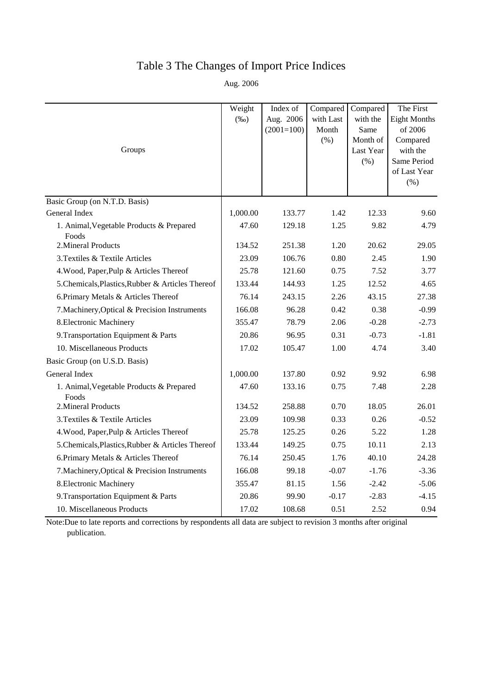# Table 3 The Changes of Import Price Indices

Aug. 2006

|                                                   | Weight   | Index of     | Compared  | Compared              | The First            |
|---------------------------------------------------|----------|--------------|-----------|-----------------------|----------------------|
|                                                   | $(\%0)$  | Aug. 2006    | with Last | with the              | <b>Eight Months</b>  |
|                                                   |          | $(2001=100)$ | Month     | Same                  | of 2006              |
| Groups                                            |          |              | (% )      | Month of<br>Last Year | Compared<br>with the |
|                                                   |          |              |           | $(\% )$               | Same Period          |
|                                                   |          |              |           |                       | of Last Year         |
|                                                   |          |              |           |                       | $(\% )$              |
| Basic Group (on N.T.D. Basis)                     |          |              |           |                       |                      |
| General Index                                     | 1,000.00 | 133.77       | 1.42      | 12.33                 | 9.60                 |
| 1. Animal, Vegetable Products & Prepared<br>Foods | 47.60    | 129.18       | 1.25      | 9.82                  | 4.79                 |
| 2. Mineral Products                               | 134.52   | 251.38       | 1.20      | 20.62                 | 29.05                |
| 3. Textiles & Textile Articles                    | 23.09    | 106.76       | 0.80      | 2.45                  | 1.90                 |
| 4. Wood, Paper, Pulp & Articles Thereof           | 25.78    | 121.60       | 0.75      | 7.52                  | 3.77                 |
| 5. Chemicals, Plastics, Rubber & Articles Thereof | 133.44   | 144.93       | 1.25      | 12.52                 | 4.65                 |
| 6. Primary Metals & Articles Thereof              | 76.14    | 243.15       | 2.26      | 43.15                 | 27.38                |
| 7. Machinery, Optical & Precision Instruments     | 166.08   | 96.28        | 0.42      | 0.38                  | $-0.99$              |
| 8. Electronic Machinery                           | 355.47   | 78.79        | 2.06      | $-0.28$               | $-2.73$              |
| 9. Transportation Equipment & Parts               | 20.86    | 96.95        | 0.31      | $-0.73$               | $-1.81$              |
| 10. Miscellaneous Products                        | 17.02    | 105.47       | 1.00      | 4.74                  | 3.40                 |
| Basic Group (on U.S.D. Basis)                     |          |              |           |                       |                      |
| General Index                                     | 1,000.00 | 137.80       | 0.92      | 9.92                  | 6.98                 |
| 1. Animal, Vegetable Products & Prepared<br>Foods | 47.60    | 133.16       | 0.75      | 7.48                  | 2.28                 |
| 2. Mineral Products                               | 134.52   | 258.88       | 0.70      | 18.05                 | 26.01                |
| 3. Textiles & Textile Articles                    | 23.09    | 109.98       | 0.33      | 0.26                  | $-0.52$              |
| 4. Wood, Paper, Pulp & Articles Thereof           | 25.78    | 125.25       | 0.26      | 5.22                  | 1.28                 |
| 5. Chemicals, Plastics, Rubber & Articles Thereof | 133.44   | 149.25       | 0.75      | 10.11                 | 2.13                 |
| 6. Primary Metals & Articles Thereof              | 76.14    | 250.45       | 1.76      | 40.10                 | 24.28                |
| 7. Machinery, Optical & Precision Instruments     | 166.08   | 99.18        | $-0.07$   | $-1.76$               | $-3.36$              |
| 8. Electronic Machinery                           | 355.47   | 81.15        | 1.56      | $-2.42$               | $-5.06$              |
| 9. Transportation Equipment & Parts               | 20.86    | 99.90        | $-0.17$   | $-2.83$               | $-4.15$              |
| 10. Miscellaneous Products                        | 17.02    | 108.68       | 0.51      | 2.52                  | 0.94                 |

Note:Due to late reports and corrections by respondents all data are subject to revision 3 months after original publication.